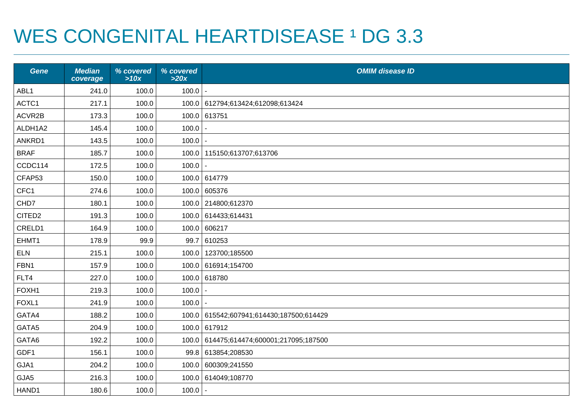## WES CONGENITAL HEARTDISEASE 1 DG 3.3

| <b>Gene</b>        | <b>Median</b><br>coverage | % covered<br>>10x | % covered<br>>20x | <b>OMIM disease ID</b>                   |
|--------------------|---------------------------|-------------------|-------------------|------------------------------------------|
| ABL1               | 241.0                     | 100.0             | 100.0             | $\sim$                                   |
| ACTC1              | 217.1                     | 100.0             |                   | 100.0 612794;613424;612098;613424        |
| ACVR2B             | 173.3                     | 100.0             |                   | 100.0 613751                             |
| ALDH1A2            | 145.4                     | 100.0             | 100.0             |                                          |
| ANKRD1             | 143.5                     | 100.0             | 100.0             |                                          |
| <b>BRAF</b>        | 185.7                     | 100.0             |                   | 100.0   115150;613707;613706             |
| CCDC114            | 172.5                     | 100.0             | 100.0             |                                          |
| CFAP53             | 150.0                     | 100.0             |                   | 100.0 614779                             |
| CFC1               | 274.6                     | 100.0             |                   | 100.0 605376                             |
| CHD7               | 180.1                     | 100.0             |                   | 100.0 214800;612370                      |
| CITED <sub>2</sub> | 191.3                     | 100.0             |                   | 100.0 614433;614431                      |
| CRELD1             | 164.9                     | 100.0             | 100.0             | 606217                                   |
| EHMT1              | 178.9                     | 99.9              | 99.7              | 610253                                   |
| <b>ELN</b>         | 215.1                     | 100.0             |                   | 100.0   123700;185500                    |
| FBN1               | 157.9                     | 100.0             |                   | 100.0 616914;154700                      |
| FLT4               | 227.0                     | 100.0             |                   | 100.0 618780                             |
| FOXH1              | 219.3                     | 100.0             | 100.0             |                                          |
| FOXL1              | 241.9                     | 100.0             | $100.0$   -       |                                          |
| GATA4              | 188.2                     | 100.0             |                   | 100.0 615542;607941;614430;187500;614429 |
| GATA5              | 204.9                     | 100.0             |                   | 100.0 617912                             |
| GATA6              | 192.2                     | 100.0             | 100.0             | 614475;614474;600001;217095;187500       |
| GDF1               | 156.1                     | 100.0             |                   | 99.8 613854;208530                       |
| GJA1               | 204.2                     | 100.0             |                   | 100.0 600309;241550                      |
| GJA5               | 216.3                     | 100.0             |                   | 100.0 614049;108770                      |
| HAND1              | 180.6                     | 100.0             | 100.0             |                                          |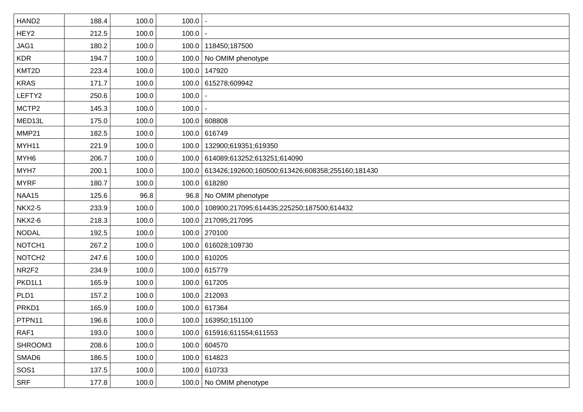| HAND <sub>2</sub>  | 188.4 | 100.0 | 100.0 |                                                        |
|--------------------|-------|-------|-------|--------------------------------------------------------|
| HEY2               | 212.5 | 100.0 | 100.0 |                                                        |
| JAG1               | 180.2 | 100.0 |       | 100.0   118450;187500                                  |
| <b>KDR</b>         | 194.7 | 100.0 |       | 100.0   No OMIM phenotype                              |
| KMT2D              | 223.4 | 100.0 |       | 100.0 147920                                           |
| <b>KRAS</b>        | 171.7 | 100.0 |       | 100.0 615278;609942                                    |
| LEFTY2             | 250.6 | 100.0 | 100.0 |                                                        |
| MCTP2              | 145.3 | 100.0 | 100.0 |                                                        |
| MED13L             | 175.0 | 100.0 |       | 100.0 608808                                           |
| MMP21              | 182.5 | 100.0 |       | 100.0 616749                                           |
| MYH11              | 221.9 | 100.0 |       | 100.0   132900;619351;619350                           |
| MYH <sub>6</sub>   | 206.7 | 100.0 |       | 100.0 614089;613252;613251;614090                      |
| MYH7               | 200.1 | 100.0 |       | 100.0 613426;192600;160500;613426;608358;255160;181430 |
| <b>MYRF</b>        | 180.7 | 100.0 |       | 100.0 618280                                           |
| NAA15              | 125.6 | 96.8  |       | 96.8 No OMIM phenotype                                 |
| <b>NKX2-5</b>      | 233.9 | 100.0 |       | 100.0   108900;217095;614435;225250;187500;614432      |
| <b>NKX2-6</b>      | 218.3 | 100.0 |       | 100.0 217095;217095                                    |
| <b>NODAL</b>       | 192.5 | 100.0 |       | 100.0 270100                                           |
| NOTCH <sub>1</sub> | 267.2 | 100.0 |       | 100.0 616028;109730                                    |
| NOTCH <sub>2</sub> | 247.6 | 100.0 |       | 100.0 610205                                           |
| NR2F2              | 234.9 | 100.0 |       | 100.0 615779                                           |
| PKD1L1             | 165.9 | 100.0 |       | 100.0 617205                                           |
| PLD1               | 157.2 | 100.0 |       | 100.0 212093                                           |
| PRKD1              | 165.9 | 100.0 |       | 100.0 617364                                           |
| PTPN11             | 196.6 | 100.0 |       | 100.0   163950;151100                                  |
| RAF1               | 193.0 | 100.0 |       | 100.0 615916;611554;611553                             |
| SHROOM3            | 208.6 | 100.0 |       | 100.0 604570                                           |
| SMAD6              | 186.5 | 100.0 |       | 100.0 614823                                           |
| SOS <sub>1</sub>   | 137.5 | 100.0 |       | 100.0 610733                                           |
| <b>SRF</b>         | 177.8 | 100.0 |       | 100.0 No OMIM phenotype                                |